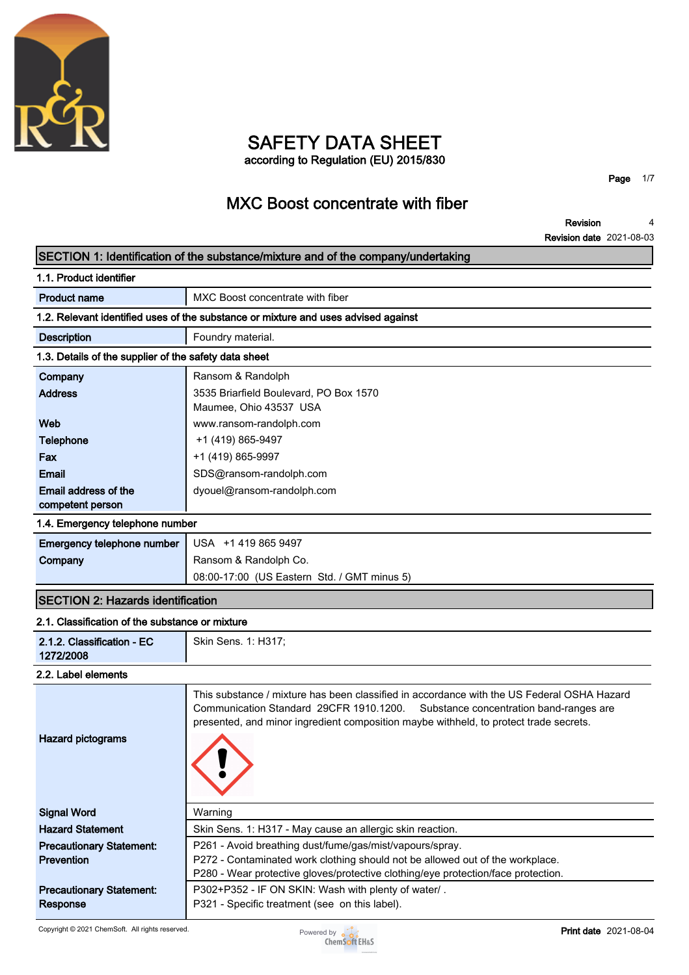

### **SAFETY DATA SHEET according to Regulation (EU) 2015/830**

**Page 1/7**

# **MXC Boost concentrate with fiber**

**Revision Revision date 2021-08-03 4**

### **SECTION 1: Identification of the substance/mixture and of the company/undertaking**

| 1.1. Product identifier                               |                                                                                    |  |  |
|-------------------------------------------------------|------------------------------------------------------------------------------------|--|--|
| <b>Product name</b>                                   | MXC Boost concentrate with fiber                                                   |  |  |
|                                                       | 1.2. Relevant identified uses of the substance or mixture and uses advised against |  |  |
| <b>Description</b>                                    | Foundry material.                                                                  |  |  |
| 1.3. Details of the supplier of the safety data sheet |                                                                                    |  |  |
| Company                                               | Ransom & Randolph                                                                  |  |  |
| <b>Address</b>                                        | 3535 Briarfield Boulevard, PO Box 1570                                             |  |  |
|                                                       | Maumee, Ohio 43537 USA                                                             |  |  |
| Web                                                   | www.ransom-randolph.com                                                            |  |  |
| <b>Telephone</b>                                      | +1 (419) 865-9497                                                                  |  |  |
| Fax                                                   | +1 (419) 865-9997                                                                  |  |  |
| <b>Email</b>                                          | SDS@ransom-randolph.com                                                            |  |  |
| Email address of the                                  | dyouel@ransom-randolph.com                                                         |  |  |
| competent person                                      |                                                                                    |  |  |
| 1.4. Emergency telephone number                       |                                                                                    |  |  |
| Emergency telephone number                            | USA +1 419 865 9497                                                                |  |  |
| Company                                               | Ransom & Randolph Co.                                                              |  |  |
|                                                       | 08:00-17:00 (US Eastern Std. / GMT minus 5)                                        |  |  |
|                                                       |                                                                                    |  |  |

# **SECTION 2: Hazards identification**

| 2.1. Classification of the substance or mixture      |                                                                                                                                                                                                                                                                        |
|------------------------------------------------------|------------------------------------------------------------------------------------------------------------------------------------------------------------------------------------------------------------------------------------------------------------------------|
| 2.1.2. Classification - EC<br>1272/2008              | Skin Sens. 1: H317;                                                                                                                                                                                                                                                    |
| 2.2. Label elements                                  |                                                                                                                                                                                                                                                                        |
| <b>Hazard pictograms</b>                             | This substance / mixture has been classified in accordance with the US Federal OSHA Hazard<br>Communication Standard 29CFR 1910.1200. Substance concentration band-ranges are<br>presented, and minor ingredient composition maybe withheld, to protect trade secrets. |
| <b>Signal Word</b>                                   | Warning                                                                                                                                                                                                                                                                |
| <b>Hazard Statement</b>                              | Skin Sens. 1: H317 - May cause an allergic skin reaction.                                                                                                                                                                                                              |
| <b>Precautionary Statement:</b><br><b>Prevention</b> | P261 - Avoid breathing dust/fume/gas/mist/vapours/spray.<br>P272 - Contaminated work clothing should not be allowed out of the workplace.<br>P280 - Wear protective gloves/protective clothing/eye protection/face protection.                                         |
| <b>Precautionary Statement:</b><br>Response          | P302+P352 - IF ON SKIN: Wash with plenty of water/.<br>P321 - Specific treatment (see on this label).                                                                                                                                                                  |

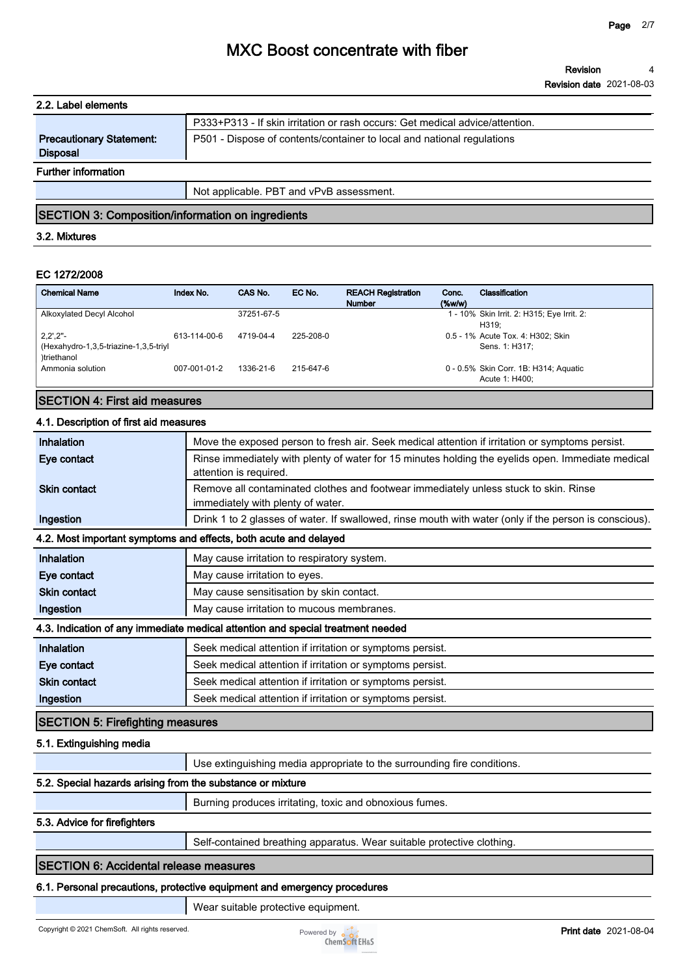| 2.2. Label elements                                |                                                                              |
|----------------------------------------------------|------------------------------------------------------------------------------|
|                                                    | P333+P313 - If skin irritation or rash occurs: Get medical advice/attention. |
| <b>Precautionary Statement:</b><br><b>Disposal</b> | P501 - Dispose of contents/container to local and national regulations       |
| <b>Further information</b>                         |                                                                              |
|                                                    | Not applicable. PBT and vPvB assessment.                                     |

### **SECTION 3: Composition/information on ingredients**

#### **3.2. Mixtures**

#### **EC 1272/2008**

| <b>Chemical Name</b>                                                                      | Index No.    | CAS No.    | EC No.    | <b>REACH Registration</b><br><b>Number</b> | Conc.<br>$(\%w/w)$ | Classification                                          |
|-------------------------------------------------------------------------------------------|--------------|------------|-----------|--------------------------------------------|--------------------|---------------------------------------------------------|
| Alkoxylated Decyl Alcohol                                                                 |              | 37251-67-5 |           |                                            |                    | 1 - 10% Skin Irrit. 2: H315; Eye Irrit. 2:<br>H319:     |
| $2,2^{\prime},2^{\prime\prime}$ -<br>(Hexahydro-1,3,5-triazine-1,3,5-triyl<br>)triethanol | 613-114-00-6 | 4719-04-4  | 225-208-0 |                                            |                    | 0.5 - 1% Acute Tox. 4: H302; Skin<br>Sens. 1: H317:     |
| Ammonia solution                                                                          | 007-001-01-2 | 1336-21-6  | 215-647-6 |                                            |                    | 0 - 0.5% Skin Corr. 1B: H314; Aguatic<br>Acute 1: H400: |

### **SECTION 4: First aid measures**

#### **4.1. Description of first aid measures**

| Inhalation                              | Move the exposed person to fresh air. Seek medical attention if irritation or symptoms persist.                             |
|-----------------------------------------|-----------------------------------------------------------------------------------------------------------------------------|
| Eye contact                             | Rinse immediately with plenty of water for 15 minutes holding the eyelids open. Immediate medical<br>attention is required. |
| <b>Skin contact</b>                     | Remove all contaminated clothes and footwear immediately unless stuck to skin. Rinse<br>immediately with plenty of water.   |
| Ingestion                               | Drink 1 to 2 glasses of water. If swallowed, rinse mouth with water (only if the person is conscious).                      |
|                                         | 4.2. Most important symptoms and effects, both acute and delayed                                                            |
| Inhalation                              | May cause irritation to respiratory system.                                                                                 |
| Eye contact                             | May cause irritation to eyes.                                                                                               |
| <b>Skin contact</b>                     | May cause sensitisation by skin contact.                                                                                    |
| Ingestion                               | May cause irritation to mucous membranes.                                                                                   |
|                                         | 4.3. Indication of any immediate medical attention and special treatment needed                                             |
| Inhalation                              | Seek medical attention if irritation or symptoms persist.                                                                   |
| Eye contact                             | Seek medical attention if irritation or symptoms persist.                                                                   |
| <b>Skin contact</b>                     | Seek medical attention if irritation or symptoms persist.                                                                   |
| Ingestion                               | Seek medical attention if irritation or symptoms persist.                                                                   |
| <b>SECTION 5: Firefighting measures</b> |                                                                                                                             |
| 5.1. Extinguishing media                |                                                                                                                             |

**Use extinguishing media appropriate to the surrounding fire conditions.**

#### **5.2. Special hazards arising from the substance or mixture**

**Burning produces irritating, toxic and obnoxious fumes.**

#### **5.3. Advice for firefighters**

**Self-contained breathing apparatus. Wear suitable protective clothing.**

### **SECTION 6: Accidental release measures**

#### **6.1. Personal precautions, protective equipment and emergency procedures**

**Wear suitable protective equipment.**

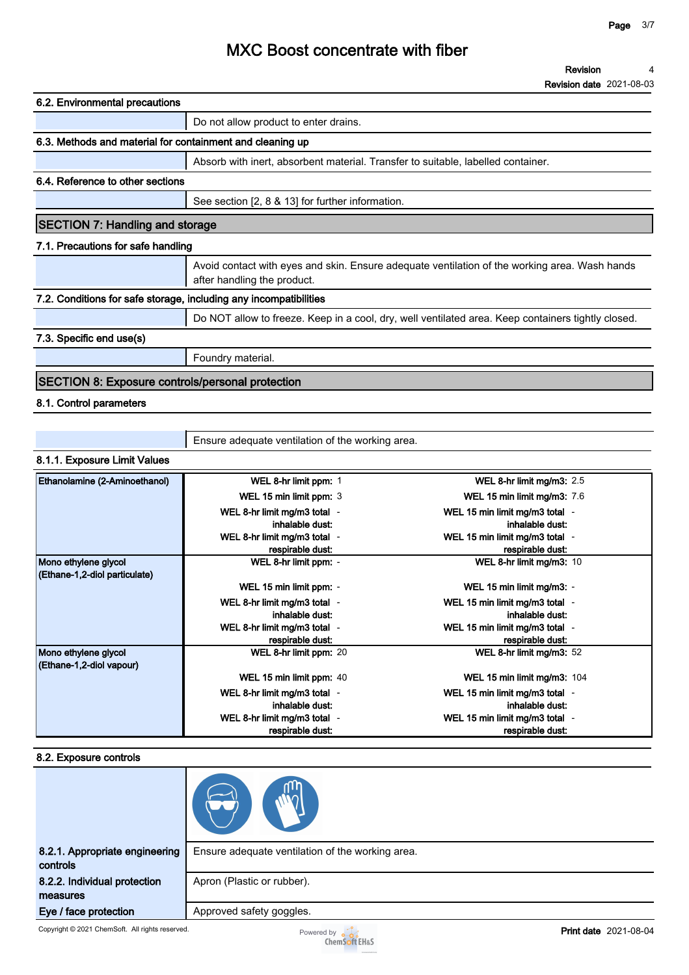| <b>Revision</b>                 |  |
|---------------------------------|--|
| <b>Revision date 2021-08-03</b> |  |

| 6.2. Environmental precautions                                    |                                                                                                                              |
|-------------------------------------------------------------------|------------------------------------------------------------------------------------------------------------------------------|
|                                                                   | Do not allow product to enter drains.                                                                                        |
| 6.3. Methods and material for containment and cleaning up         |                                                                                                                              |
|                                                                   | Absorb with inert, absorbent material. Transfer to suitable, labelled container.                                             |
| 6.4. Reference to other sections                                  |                                                                                                                              |
|                                                                   | See section [2, 8 & 13] for further information.                                                                             |
| <b>SECTION 7: Handling and storage</b>                            |                                                                                                                              |
| 7.1. Precautions for safe handling                                |                                                                                                                              |
|                                                                   | Avoid contact with eyes and skin. Ensure adequate ventilation of the working area. Wash hands<br>after handling the product. |
| 7.2. Conditions for safe storage, including any incompatibilities |                                                                                                                              |
|                                                                   | Do NOT allow to freeze. Keep in a cool, dry, well ventilated area. Keep containers tightly closed.                           |
| 7.3. Specific end use(s)                                          |                                                                                                                              |
|                                                                   | Foundry material.                                                                                                            |
| <b>SECTION 8: Exposure controls/personal protection</b>           |                                                                                                                              |
| 8.1. Control parameters                                           |                                                                                                                              |

**8.1.1. Exposure Limit Values**

| <b>Ethanolamine (2-Aminoethanol)</b> | WEL 8-hr limit ppm: 1        | WEL 8-hr limit mg/m3: 2.5          |
|--------------------------------------|------------------------------|------------------------------------|
|                                      | WEL 15 min limit ppm: 3      | <b>WEL 15 min limit mg/m3: 7.6</b> |
|                                      | WEL 8-hr limit mg/m3 total - | WEL 15 min limit mg/m3 total -     |
|                                      | inhalable dust:              | inhalable dust:                    |
|                                      | WEL 8-hr limit mg/m3 total - | WEL 15 min limit mg/m3 total -     |
|                                      | respirable dust:             | respirable dust:                   |
| Mono ethylene glycol                 | WEL 8-hr limit ppm: -        | WEL 8-hr limit mg/m3: 10           |
| (Ethane-1,2-diol particulate)        |                              |                                    |
|                                      | WEL 15 min limit ppm: -      | WEL 15 min limit mg/m3: -          |
|                                      | WEL 8-hr limit mg/m3 total - | WEL 15 min limit mg/m3 total -     |
|                                      | inhalable dust:              | inhalable dust:                    |
|                                      | WEL 8-hr limit mg/m3 total - | WEL 15 min limit mg/m3 total -     |
|                                      | respirable dust:             | respirable dust:                   |
| Mono ethylene glycol                 | WEL 8-hr limit ppm: 20       | WEL 8-hr limit mg/m3: 52           |
| (Ethane-1,2-diol vapour)             |                              |                                    |
|                                      | WEL 15 min limit ppm: 40     | WEL 15 min limit mg/m3: 104        |
|                                      | WEL 8-hr limit mg/m3 total - | WEL 15 min limit mg/m3 total -     |
|                                      | inhalable dust:              | inhalable dust:                    |
|                                      | WEL 8-hr limit mg/m3 total - | WEL 15 min limit mg/m3 total -     |
|                                      | respirable dust:             | respirable dust:                   |

**Ensure adequate ventilation of the working area.**

### **8.2. Exposure controls**

| 8.2.1. Appropriate engineering<br>controls | Ensure adequate ventilation of the working area. |
|--------------------------------------------|--------------------------------------------------|
| 8.2.2. Individual protection               | Apron (Plastic or rubber).                       |
| measures                                   |                                                  |
| Eye / face protection                      | Approved safety goggles.                         |

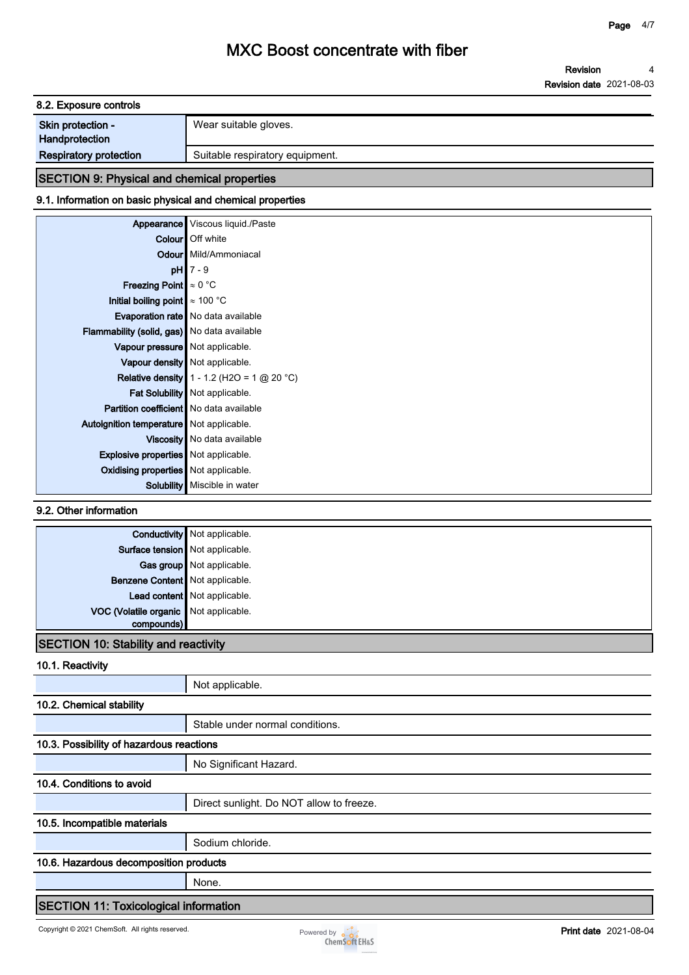**Revision Revision date 2021-08-03 4**

| 8.2. Exposure controls                     |                                 |  |
|--------------------------------------------|---------------------------------|--|
| <b>Skin protection -</b><br>Handprotection | Wear suitable gloves.           |  |
| <b>Respiratory protection</b>              | Suitable respiratory equipment. |  |

### **SECTION 9: Physical and chemical properties 9.1. Information on basic physical and chemical properties**

|                                                | Appearance Viscous liquid./Paste             |
|------------------------------------------------|----------------------------------------------|
|                                                | Colour   Off white                           |
|                                                | <b>Odour</b> Mild/Ammoniacal                 |
|                                                | $pH$ 7 - 9                                   |
| <b>Freezing Point</b> $\approx 0$ °C           |                                              |
| Initial boiling point $\approx 100$ °C         |                                              |
|                                                | Evaporation rate   No data available         |
| Flammability (solid, gas) No data available    |                                              |
| Vapour pressure   Not applicable.              |                                              |
|                                                | Vapour density   Not applicable.             |
|                                                | Relative density $1 - 1.2$ (H2O = 1 @ 20 °C) |
|                                                | Fat Solubility   Not applicable.             |
| <b>Partition coefficient</b> No data available |                                              |
| Autoignition temperature   Not applicable.     |                                              |
|                                                | Viscosity   No data available                |
| <b>Explosive properties</b> Not applicable.    |                                              |
| Oxidising properties   Not applicable.         |                                              |
| <b>Solubility</b>                              | Miscible in water                            |

**9.2. Other information**

|                                       | <b>Conductivity</b> Not applicable. |
|---------------------------------------|-------------------------------------|
|                                       | Surface tension Not applicable.     |
|                                       | Gas group Not applicable.           |
| Benzene Content Not applicable.       |                                     |
|                                       | Lead content Not applicable.        |
| VOC (Volatile organic Not applicable. |                                     |
| compounds)                            |                                     |

### **SECTION 10: Stability and reactivity**

**10.1. Reactivity**

|                                              | Not applicable.                          |  |
|----------------------------------------------|------------------------------------------|--|
| 10.2. Chemical stability                     |                                          |  |
|                                              | Stable under normal conditions.          |  |
| 10.3. Possibility of hazardous reactions     |                                          |  |
|                                              | No Significant Hazard.                   |  |
| 10.4. Conditions to avoid                    |                                          |  |
|                                              | Direct sunlight. Do NOT allow to freeze. |  |
| 10.5. Incompatible materials                 |                                          |  |
|                                              | Sodium chloride.                         |  |
| 10.6. Hazardous decomposition products       |                                          |  |
|                                              | None.                                    |  |
| <b>SECTION 11: Toxicological information</b> |                                          |  |

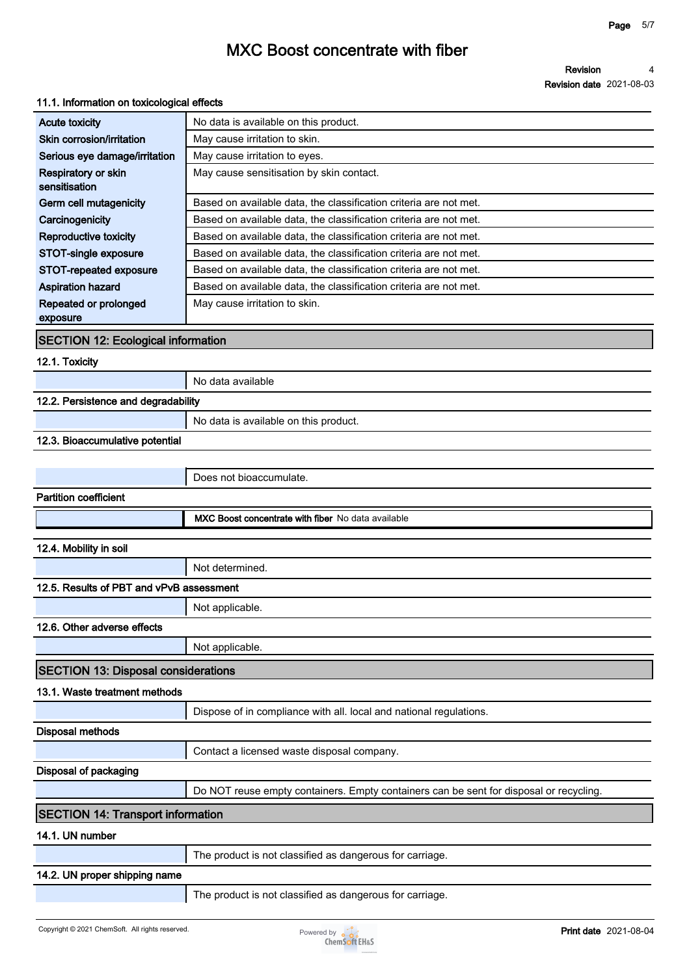**Revision date 2021-08-03 4**

**Revision**

| 11.1. Information on toxicological effects  |                                                                                        |  |
|---------------------------------------------|----------------------------------------------------------------------------------------|--|
| <b>Acute toxicity</b>                       | No data is available on this product.                                                  |  |
| Skin corrosion/irritation                   | May cause irritation to skin.                                                          |  |
| Serious eye damage/irritation               | May cause irritation to eyes.                                                          |  |
| <b>Respiratory or skin</b><br>sensitisation | May cause sensitisation by skin contact.                                               |  |
| Germ cell mutagenicity                      | Based on available data, the classification criteria are not met.                      |  |
| Carcinogenicity                             | Based on available data, the classification criteria are not met.                      |  |
| <b>Reproductive toxicity</b>                | Based on available data, the classification criteria are not met.                      |  |
| STOT-single exposure                        | Based on available data, the classification criteria are not met.                      |  |
| STOT-repeated exposure                      | Based on available data, the classification criteria are not met.                      |  |
| <b>Aspiration hazard</b>                    | Based on available data, the classification criteria are not met.                      |  |
| Repeated or prolonged<br>exposure           | May cause irritation to skin.                                                          |  |
| <b>SECTION 12: Ecological information</b>   |                                                                                        |  |
| 12.1. Toxicity                              |                                                                                        |  |
|                                             | No data available                                                                      |  |
| 12.2. Persistence and degradability         |                                                                                        |  |
|                                             | No data is available on this product.                                                  |  |
| 12.3. Bioaccumulative potential             |                                                                                        |  |
|                                             |                                                                                        |  |
|                                             | Does not bioaccumulate.                                                                |  |
| <b>Partition coefficient</b>                |                                                                                        |  |
|                                             | MXC Boost concentrate with fiber No data available                                     |  |
| 12.4. Mobility in soil                      |                                                                                        |  |
|                                             | Not determined.                                                                        |  |
| 12.5. Results of PBT and vPvB assessment    |                                                                                        |  |
|                                             | Not applicable.                                                                        |  |
| 12.6. Other adverse effects                 |                                                                                        |  |
|                                             | Not applicable.                                                                        |  |
| <b>SECTION 13: Disposal considerations</b>  |                                                                                        |  |
| 13.1. Waste treatment methods               |                                                                                        |  |
|                                             | Dispose of in compliance with all. local and national regulations.                     |  |
| <b>Disposal methods</b>                     |                                                                                        |  |
|                                             | Contact a licensed waste disposal company.                                             |  |
| Disposal of packaging                       |                                                                                        |  |
|                                             | Do NOT reuse empty containers. Empty containers can be sent for disposal or recycling. |  |
| <b>SECTION 14: Transport information</b>    |                                                                                        |  |
| 14.1. UN number                             |                                                                                        |  |
|                                             | The product is not classified as dangerous for carriage.                               |  |

### **14.2. UN proper shipping name**

**The product is not classified as dangerous for carriage.**

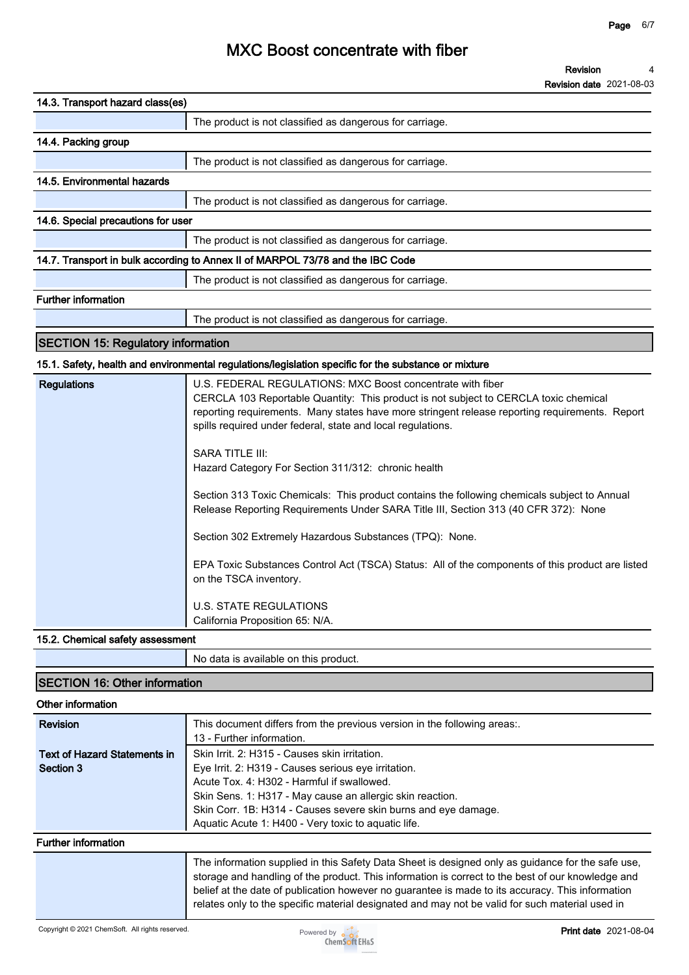**Revision date 2021-08-03**

| 14.3. Transport hazard class(es)          |                                                                                                                                                                                                                                                                                                                                                                                                                                                                                                                                                                                                                                                                                                                                                                                                                                                   |
|-------------------------------------------|---------------------------------------------------------------------------------------------------------------------------------------------------------------------------------------------------------------------------------------------------------------------------------------------------------------------------------------------------------------------------------------------------------------------------------------------------------------------------------------------------------------------------------------------------------------------------------------------------------------------------------------------------------------------------------------------------------------------------------------------------------------------------------------------------------------------------------------------------|
|                                           | The product is not classified as dangerous for carriage.                                                                                                                                                                                                                                                                                                                                                                                                                                                                                                                                                                                                                                                                                                                                                                                          |
| 14.4. Packing group                       |                                                                                                                                                                                                                                                                                                                                                                                                                                                                                                                                                                                                                                                                                                                                                                                                                                                   |
|                                           | The product is not classified as dangerous for carriage.                                                                                                                                                                                                                                                                                                                                                                                                                                                                                                                                                                                                                                                                                                                                                                                          |
| 14.5. Environmental hazards               |                                                                                                                                                                                                                                                                                                                                                                                                                                                                                                                                                                                                                                                                                                                                                                                                                                                   |
|                                           | The product is not classified as dangerous for carriage.                                                                                                                                                                                                                                                                                                                                                                                                                                                                                                                                                                                                                                                                                                                                                                                          |
| 14.6. Special precautions for user        |                                                                                                                                                                                                                                                                                                                                                                                                                                                                                                                                                                                                                                                                                                                                                                                                                                                   |
|                                           | The product is not classified as dangerous for carriage.                                                                                                                                                                                                                                                                                                                                                                                                                                                                                                                                                                                                                                                                                                                                                                                          |
|                                           | 14.7. Transport in bulk according to Annex II of MARPOL 73/78 and the IBC Code                                                                                                                                                                                                                                                                                                                                                                                                                                                                                                                                                                                                                                                                                                                                                                    |
|                                           | The product is not classified as dangerous for carriage.                                                                                                                                                                                                                                                                                                                                                                                                                                                                                                                                                                                                                                                                                                                                                                                          |
| <b>Further information</b>                |                                                                                                                                                                                                                                                                                                                                                                                                                                                                                                                                                                                                                                                                                                                                                                                                                                                   |
|                                           | The product is not classified as dangerous for carriage.                                                                                                                                                                                                                                                                                                                                                                                                                                                                                                                                                                                                                                                                                                                                                                                          |
| <b>SECTION 15: Regulatory information</b> |                                                                                                                                                                                                                                                                                                                                                                                                                                                                                                                                                                                                                                                                                                                                                                                                                                                   |
|                                           | 15.1. Safety, health and environmental regulations/legislation specific for the substance or mixture                                                                                                                                                                                                                                                                                                                                                                                                                                                                                                                                                                                                                                                                                                                                              |
| <b>Regulations</b>                        | U.S. FEDERAL REGULATIONS: MXC Boost concentrate with fiber<br>CERCLA 103 Reportable Quantity: This product is not subject to CERCLA toxic chemical<br>reporting requirements. Many states have more stringent release reporting requirements. Report<br>spills required under federal, state and local regulations.<br>SARA TITLE III:<br>Hazard Category For Section 311/312: chronic health<br>Section 313 Toxic Chemicals: This product contains the following chemicals subject to Annual<br>Release Reporting Requirements Under SARA Title III, Section 313 (40 CFR 372): None<br>Section 302 Extremely Hazardous Substances (TPQ): None.<br>EPA Toxic Substances Control Act (TSCA) Status: All of the components of this product are listed<br>on the TSCA inventory.<br><b>U.S. STATE REGULATIONS</b><br>California Proposition 65: N/A. |

#### **15.2. Chemical safety assessment**

|                                      | No data is available on this product. |
|--------------------------------------|---------------------------------------|
| <b>SECTION 16: Other information</b> |                                       |

#### **Other information**

| <b>Revision</b>                                  | This document differs from the previous version in the following areas<br>13 - Further information.                                                                                                                                                                                                                                                                                                           |
|--------------------------------------------------|---------------------------------------------------------------------------------------------------------------------------------------------------------------------------------------------------------------------------------------------------------------------------------------------------------------------------------------------------------------------------------------------------------------|
| <b>Text of Hazard Statements in</b><br>Section 3 | Skin Irrit. 2: H315 - Causes skin irritation.<br>Eye Irrit. 2: H319 - Causes serious eye irritation.<br>Acute Tox. 4: H302 - Harmful if swallowed.<br>Skin Sens. 1: H317 - May cause an allergic skin reaction.<br>Skin Corr. 1B: H314 - Causes severe skin burns and eye damage.<br>Aquatic Acute 1: H400 - Very toxic to aquatic life.                                                                      |
| <b>Further information</b>                       |                                                                                                                                                                                                                                                                                                                                                                                                               |
|                                                  | The information supplied in this Safety Data Sheet is designed only as guidance for the safe use,<br>storage and handling of the product. This information is correct to the best of our knowledge and<br>belief at the date of publication however no guarantee is made to its accuracy. This information<br>relates only to the specific material designated and may not be valid for such material used in |